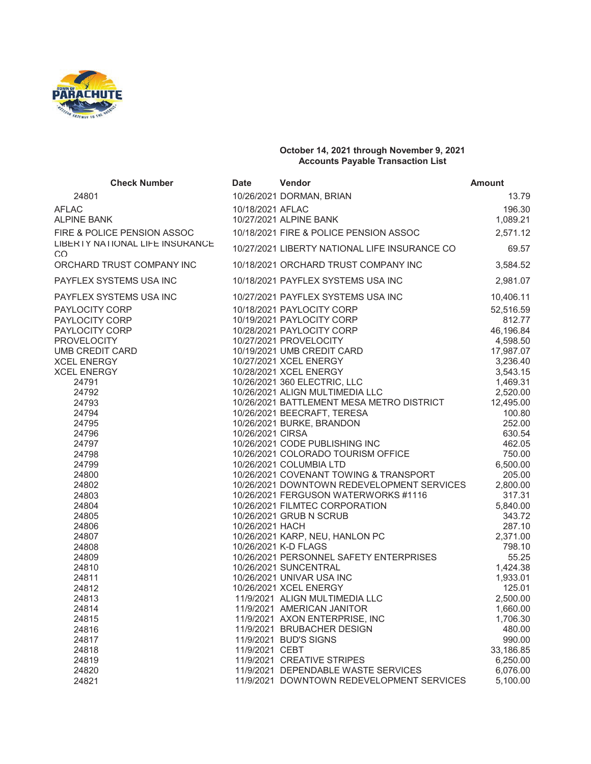

## **October 14, 2021 through November 9, 2021 Accounts Payable Transaction List**

| <b>Check Number</b>                                                                                                                                                                                                                                                                                                                                  | <b>Date</b>                         | Vendor                                                                                                                                                                                                                                                                                                                                                                                                                                                                                                                                                                                                                                                                                                                                                                                                                                                                                              | <b>Amount</b>                                                                                                                                                                                                                                                                                                                     |
|------------------------------------------------------------------------------------------------------------------------------------------------------------------------------------------------------------------------------------------------------------------------------------------------------------------------------------------------------|-------------------------------------|-----------------------------------------------------------------------------------------------------------------------------------------------------------------------------------------------------------------------------------------------------------------------------------------------------------------------------------------------------------------------------------------------------------------------------------------------------------------------------------------------------------------------------------------------------------------------------------------------------------------------------------------------------------------------------------------------------------------------------------------------------------------------------------------------------------------------------------------------------------------------------------------------------|-----------------------------------------------------------------------------------------------------------------------------------------------------------------------------------------------------------------------------------------------------------------------------------------------------------------------------------|
| 24801                                                                                                                                                                                                                                                                                                                                                |                                     | 10/26/2021 DORMAN, BRIAN                                                                                                                                                                                                                                                                                                                                                                                                                                                                                                                                                                                                                                                                                                                                                                                                                                                                            | 13.79                                                                                                                                                                                                                                                                                                                             |
| <b>AFLAC</b>                                                                                                                                                                                                                                                                                                                                         | 10/18/2021 AFLAC                    |                                                                                                                                                                                                                                                                                                                                                                                                                                                                                                                                                                                                                                                                                                                                                                                                                                                                                                     | 196.30                                                                                                                                                                                                                                                                                                                            |
| <b>ALPINE BANK</b>                                                                                                                                                                                                                                                                                                                                   |                                     | 10/27/2021 ALPINE BANK                                                                                                                                                                                                                                                                                                                                                                                                                                                                                                                                                                                                                                                                                                                                                                                                                                                                              | 1,089.21                                                                                                                                                                                                                                                                                                                          |
| FIRE & POLICE PENSION ASSOC                                                                                                                                                                                                                                                                                                                          |                                     | 10/18/2021 FIRE & POLICE PENSION ASSOC                                                                                                                                                                                                                                                                                                                                                                                                                                                                                                                                                                                                                                                                                                                                                                                                                                                              | 2,571.12                                                                                                                                                                                                                                                                                                                          |
| LIBERTY NATIONAL LIFE INSURANCE<br>CO                                                                                                                                                                                                                                                                                                                |                                     | 10/27/2021 LIBERTY NATIONAL LIFE INSURANCE CO                                                                                                                                                                                                                                                                                                                                                                                                                                                                                                                                                                                                                                                                                                                                                                                                                                                       | 69.57                                                                                                                                                                                                                                                                                                                             |
| ORCHARD TRUST COMPANY INC                                                                                                                                                                                                                                                                                                                            |                                     | 10/18/2021 ORCHARD TRUST COMPANY INC                                                                                                                                                                                                                                                                                                                                                                                                                                                                                                                                                                                                                                                                                                                                                                                                                                                                | 3,584.52                                                                                                                                                                                                                                                                                                                          |
| PAYFLEX SYSTEMS USA INC                                                                                                                                                                                                                                                                                                                              |                                     | 10/18/2021 PAYFLEX SYSTEMS USA INC                                                                                                                                                                                                                                                                                                                                                                                                                                                                                                                                                                                                                                                                                                                                                                                                                                                                  | 2,981.07                                                                                                                                                                                                                                                                                                                          |
| PAYFLEX SYSTEMS USA INC                                                                                                                                                                                                                                                                                                                              |                                     | 10/27/2021 PAYFLEX SYSTEMS USA INC                                                                                                                                                                                                                                                                                                                                                                                                                                                                                                                                                                                                                                                                                                                                                                                                                                                                  | 10,406.11                                                                                                                                                                                                                                                                                                                         |
| <b>PAYLOCITY CORP</b><br>PAYLOCITY CORP<br>PAYLOCITY CORP<br><b>PROVELOCITY</b><br>UMB CREDIT CARD<br><b>XCEL ENERGY</b><br><b>XCEL ENERGY</b><br>24791<br>24792<br>24793<br>24794<br>24795<br>24796<br>24797<br>24798<br>24799<br>24800<br>24802<br>24803<br>24804<br>24805<br>24806<br>24807<br>24808<br>24809<br>24810<br>24811<br>24812<br>24813 | 10/26/2021 CIRSA<br>10/26/2021 HACH | 10/18/2021 PAYLOCITY CORP<br>10/19/2021 PAYLOCITY CORP<br>10/28/2021 PAYLOCITY CORP<br>10/27/2021 PROVELOCITY<br>10/19/2021 UMB CREDIT CARD<br>10/27/2021 XCEL ENERGY<br>10/28/2021 XCEL ENERGY<br>10/26/2021 360 ELECTRIC, LLC<br>10/26/2021 ALIGN MULTIMEDIA LLC<br>10/26/2021 BATTLEMENT MESA METRO DISTRICT<br>10/26/2021 BEECRAFT, TERESA<br>10/26/2021 BURKE, BRANDON<br>10/26/2021 CODE PUBLISHING INC<br>10/26/2021 COLORADO TOURISM OFFICE<br>10/26/2021 COLUMBIA LTD<br>10/26/2021 COVENANT TOWING & TRANSPORT<br>10/26/2021 DOWNTOWN REDEVELOPMENT SERVICES<br>10/26/2021 FERGUSON WATERWORKS #1116<br>10/26/2021 FILMTEC CORPORATION<br>10/26/2021 GRUB N SCRUB<br>10/26/2021 KARP, NEU, HANLON PC<br>10/26/2021 K-D FLAGS<br>10/26/2021 PERSONNEL SAFETY ENTERPRISES<br>10/26/2021 SUNCENTRAL<br>10/26/2021 UNIVAR USA INC<br>10/26/2021 XCEL ENERGY<br>11/9/2021 ALIGN MULTIMEDIA LLC | 52,516.59<br>812.77<br>46,196.84<br>4,598.50<br>17,987.07<br>3,236.40<br>3,543.15<br>1,469.31<br>2,520.00<br>12,495.00<br>100.80<br>252.00<br>630.54<br>462.05<br>750.00<br>6,500.00<br>205.00<br>2,800.00<br>317.31<br>5,840.00<br>343.72<br>287.10<br>2,371.00<br>798.10<br>55.25<br>1,424.38<br>1,933.01<br>125.01<br>2,500.00 |
| 24814<br>24815                                                                                                                                                                                                                                                                                                                                       |                                     | 11/9/2021 AMERICAN JANITOR<br>11/9/2021 AXON ENTERPRISE, INC                                                                                                                                                                                                                                                                                                                                                                                                                                                                                                                                                                                                                                                                                                                                                                                                                                        | 1,660.00<br>1,706.30                                                                                                                                                                                                                                                                                                              |
| 24816                                                                                                                                                                                                                                                                                                                                                |                                     | 11/9/2021 BRUBACHER DESIGN                                                                                                                                                                                                                                                                                                                                                                                                                                                                                                                                                                                                                                                                                                                                                                                                                                                                          | 480.00                                                                                                                                                                                                                                                                                                                            |
| 24817                                                                                                                                                                                                                                                                                                                                                |                                     | 11/9/2021 BUD'S SIGNS                                                                                                                                                                                                                                                                                                                                                                                                                                                                                                                                                                                                                                                                                                                                                                                                                                                                               | 990.00                                                                                                                                                                                                                                                                                                                            |
| 24818                                                                                                                                                                                                                                                                                                                                                | 11/9/2021 CEBT                      |                                                                                                                                                                                                                                                                                                                                                                                                                                                                                                                                                                                                                                                                                                                                                                                                                                                                                                     | 33,186.85                                                                                                                                                                                                                                                                                                                         |
| 24819                                                                                                                                                                                                                                                                                                                                                |                                     | 11/9/2021 CREATIVE STRIPES                                                                                                                                                                                                                                                                                                                                                                                                                                                                                                                                                                                                                                                                                                                                                                                                                                                                          | 6,250.00                                                                                                                                                                                                                                                                                                                          |
| 24820                                                                                                                                                                                                                                                                                                                                                |                                     | 11/9/2021 DEPENDABLE WASTE SERVICES                                                                                                                                                                                                                                                                                                                                                                                                                                                                                                                                                                                                                                                                                                                                                                                                                                                                 | 6,076.00                                                                                                                                                                                                                                                                                                                          |
| 24821                                                                                                                                                                                                                                                                                                                                                |                                     | 11/9/2021 DOWNTOWN REDEVELOPMENT SERVICES                                                                                                                                                                                                                                                                                                                                                                                                                                                                                                                                                                                                                                                                                                                                                                                                                                                           | 5,100.00                                                                                                                                                                                                                                                                                                                          |